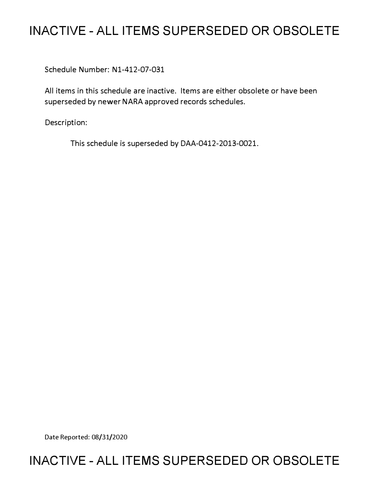# **INACTIVE - ALL ITEMS SUPERSEDED OR OBSOLETE**

Schedule Number: Nl-412-07-031

All items in this schedule are inactive. Items are either obsolete or have been superseded by newer NARA approved records schedules.

Description:

This schedule is superseded by DAA-0412-2013-0021.

Date Reported: 08/31/2020

# **INACTIVE - ALL ITEMS SUPERSEDED OR OBSOLETE**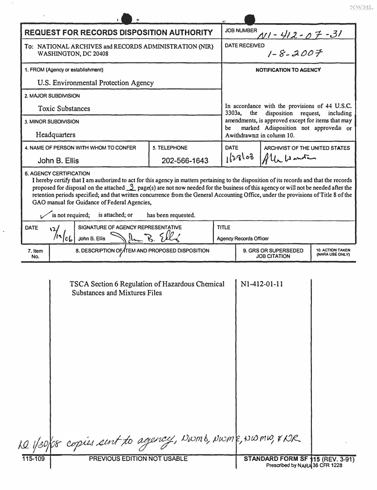| <b>REQUEST FOR RECORDS DISPOSITION AUTHORITY</b>                               |                                                                                                                                                                                                                                                                                                                                                           |                     |                                               | <b>JOB NUMBER</b><br><u>NI - 412 - 07 - 31</u>                                                                                                                                                                                               |              |  |  |
|--------------------------------------------------------------------------------|-----------------------------------------------------------------------------------------------------------------------------------------------------------------------------------------------------------------------------------------------------------------------------------------------------------------------------------------------------------|---------------------|-----------------------------------------------|----------------------------------------------------------------------------------------------------------------------------------------------------------------------------------------------------------------------------------------------|--------------|--|--|
| To: NATIONAL ARCHIVES and RECORDS ADMINISTRATION (NIR)<br>WASHINGTON, DC 20408 |                                                                                                                                                                                                                                                                                                                                                           |                     |                                               | $1 - 8 - 2007$<br><b>DATE RECEIVED</b>                                                                                                                                                                                                       |              |  |  |
| 1. FROM (Agency or establishment)                                              |                                                                                                                                                                                                                                                                                                                                                           |                     |                                               | <b>NOTIFICATION TO AGENCY</b>                                                                                                                                                                                                                |              |  |  |
| U.S. Environmental Protection Agency                                           |                                                                                                                                                                                                                                                                                                                                                           |                     |                                               |                                                                                                                                                                                                                                              |              |  |  |
| 2. MAJOR SUBDIVISION                                                           |                                                                                                                                                                                                                                                                                                                                                           |                     |                                               |                                                                                                                                                                                                                                              |              |  |  |
| <b>Toxic Substances</b>                                                        |                                                                                                                                                                                                                                                                                                                                                           |                     |                                               | In accordance with the provisions of 44 U.S.C.<br>disposition request,<br>the<br>3303a,<br>including<br>amendments, is approved except for items that may<br>marked Adisposition not approved= or<br>be<br>Awithdrawn $\equiv$ in column 10. |              |  |  |
| 3. MINOR SUBDIVISION                                                           |                                                                                                                                                                                                                                                                                                                                                           |                     |                                               |                                                                                                                                                                                                                                              |              |  |  |
| Headquarters                                                                   |                                                                                                                                                                                                                                                                                                                                                           |                     |                                               |                                                                                                                                                                                                                                              |              |  |  |
| 4. NAME OF PERSON WITH WHOM TO CONFER<br>5. TELEPHONE                          |                                                                                                                                                                                                                                                                                                                                                           |                     |                                               | <b>DATE</b><br>ARCHIVIST OF THE UNITED STATES                                                                                                                                                                                                |              |  |  |
|                                                                                | John B. Ellis                                                                                                                                                                                                                                                                                                                                             | 202-566-1643        |                                               | 1128103<br>Alle Western                                                                                                                                                                                                                      |              |  |  |
| <b>DATE</b>                                                                    | retention periods specified; and that written concurrence from the General Accounting Office, under the provisions of Title 8 of the<br>GAO manual for Guidance of Federal Agencies,<br>is not required;<br>is attached; or<br>SIGNATURE OF AGENCY REPRESENTATIVE<br>$\mathsf{V}$<br>John B. Ellis $\bigcap_{\Lambda} \mathbb{R}$ . Ell<br>$/$ la $ c_b $ | has been requested. | <b>TITLE</b><br><b>Agency Records Officer</b> |                                                                                                                                                                                                                                              |              |  |  |
| 7. Item<br>No.                                                                 | 8. DESCRIPTION OF TEM AND PROPOSED DISPOSITION                                                                                                                                                                                                                                                                                                            |                     |                                               | <b>10. ACTION TAKEN</b><br>9. GRS OR SUPERSEDED<br>(NARA USE ONLY)<br><b>JOB CITATION</b>                                                                                                                                                    |              |  |  |
|                                                                                | TSCA Section 6 Regulation of Hazardous Chemical<br>Substances and Mixtures Files                                                                                                                                                                                                                                                                          |                     |                                               |                                                                                                                                                                                                                                              | N1-412-01-11 |  |  |
|                                                                                | Re 1/30/08 copies sent to agency, Numb, Nume, Nummo, 8 NR                                                                                                                                                                                                                                                                                                 |                     |                                               |                                                                                                                                                                                                                                              |              |  |  |
| <b>PREVIOUS EDITION NOT USABLE</b><br>115-109                                  |                                                                                                                                                                                                                                                                                                                                                           |                     |                                               | STANDARD FORM SF 115 (REV. 3-91)<br>Prescribed by NARA 36 CFR 1228                                                                                                                                                                           |              |  |  |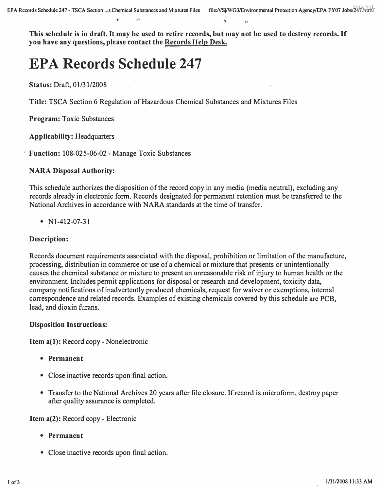**This schedule is in draft. It may be used to retire records, but may not be used to destroy records. If you have any questions, please contact the Records Help Desk.** 

# **EPA Records Schedule 247**

**Status:** Draft, 01/31/2008

**Title:** TSCA Section 6 Regulation of Hazardous Chemical Substances and Mixtures Files

**Program:** Toxic Substances

**Applicability:** Headquarters

**Function:** 108-025-06-02 - Manage Toxic Substances

### **NARA Disposal Authority:**

This schedule authorizes the disposition of the record copy in any media (media neutral), excluding any records already in electronic form. Records designated for permanent retention must be transferred to the National Archives in accordance with NARA standards at the time of transfer.

• Nl-412-07-31

#### **Description:**

Records document requirements associated with the disposal, prohibition or limitation of the manufacture, processing, distribution in commerce or use of a chemical or mixture that presents or unintentionally causes the chemical substance or mixture to present an unreasonable risk of injury to human health or the environment. Includes permit applications for disposal or research and development, toxicity data, company notifications of inadvertently produced chemicals, request for waiver or exemptions, internal correspondence and related records. Examples of existing chemicals covered by this schedule are PCB, lead, and dioxin furans.

#### **Disposition Instructions:**

**Item a(l):** Record copy-Nonelectronic

- **Permanent**
- Close inactive records upon final action.
- Transfer to the National Archives 20 years after file closure. If record is microform, destroy paper after quality assurance is completed.

**Item a(2):** Record copy - Electronic

- **Permanent**
- Close inactive records upon final action.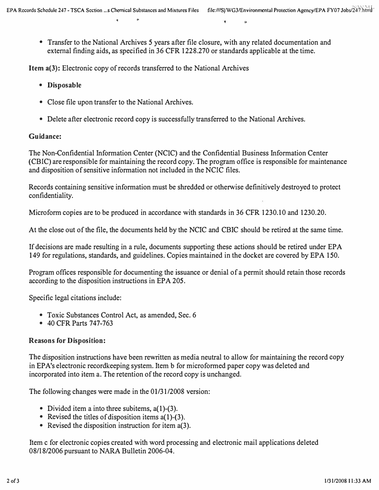• Transfer to the National Archives 5 years after file closure, with any related documentation and external finding aids, as specified in 36 CFR 1228.270 or standards applicable at the time.

,. ,,

**Item a(3):** Electronic copy of records transferred to the National Archives

- **Disposable**
- Close file upon transfer to the National Archives.
- Delete after electronic record copy is successfully transferred to the National Archives.

## **Guidance:**

The Non-Confidential Information Center (NCIC) and the Confidential Business Information Center (CBIC) are responsible for maintaining the record copy. The program office is responsible for maintenance and disposition of sensitive information not included in the NCIC files.

Records containing sensitive information must be shredded or otherwise definitively destroyed to protect confidentiality.

Microform copies are to be produced in accordance with standards in 36 CFR 1230.10 and 1230.20.

At the close out of the file, the documents held by the NCIC and CBIC should be retired at the same time.

If decisions are made resulting in a rule, documents supporting these actions should be retired under EPA 149 for regulations, standards, and guidelines. Copies maintained in the docket are covered by EPA 150.

Program offices responsible for documenting the issuance or denial of a permit should retain those records according to the disposition instructions in EPA 205.

Specific legal citations include:

- Toxic Substances Control Act, as amended, Sec. 6
- 40 CFR Parts 747-763

## **Reasons for Disposition:**

The disposition instructions have been rewritten as media neutral to allow for maintaining the record copy in EPA's electronic recordkeeping system. Item b for microformed paper copy was deleted and incorporated into item a. The retention of the record copy is unchanged.

The following changes were made in the 01/31/2008 version:

- Divided item a into three subitems, a(1)-(3).
- Revised the titles of disposition items a(1)-(3).
- Revised the disposition instruction for item a(3).

Item c for electronic copies created with word processing and electronic mail applications deleted 08/18/2006 pursuant to NARA Bulletin 2006-04.